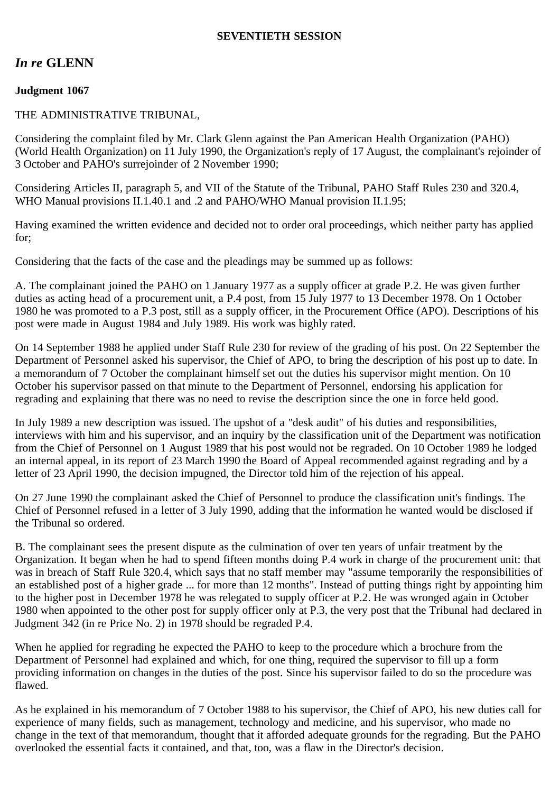### **SEVENTIETH SESSION**

# *In re* **GLENN**

## **Judgment 1067**

#### THE ADMINISTRATIVE TRIBUNAL,

Considering the complaint filed by Mr. Clark Glenn against the Pan American Health Organization (PAHO) (World Health Organization) on 11 July 1990, the Organization's reply of 17 August, the complainant's rejoinder of 3 October and PAHO's surrejoinder of 2 November 1990;

Considering Articles II, paragraph 5, and VII of the Statute of the Tribunal, PAHO Staff Rules 230 and 320.4, WHO Manual provisions II.1.40.1 and .2 and PAHO/WHO Manual provision II.1.95;

Having examined the written evidence and decided not to order oral proceedings, which neither party has applied for;

Considering that the facts of the case and the pleadings may be summed up as follows:

A. The complainant joined the PAHO on 1 January 1977 as a supply officer at grade P.2. He was given further duties as acting head of a procurement unit, a P.4 post, from 15 July 1977 to 13 December 1978. On 1 October 1980 he was promoted to a P.3 post, still as a supply officer, in the Procurement Office (APO). Descriptions of his post were made in August 1984 and July 1989. His work was highly rated.

On 14 September 1988 he applied under Staff Rule 230 for review of the grading of his post. On 22 September the Department of Personnel asked his supervisor, the Chief of APO, to bring the description of his post up to date. In a memorandum of 7 October the complainant himself set out the duties his supervisor might mention. On 10 October his supervisor passed on that minute to the Department of Personnel, endorsing his application for regrading and explaining that there was no need to revise the description since the one in force held good.

In July 1989 a new description was issued. The upshot of a "desk audit" of his duties and responsibilities, interviews with him and his supervisor, and an inquiry by the classification unit of the Department was notification from the Chief of Personnel on 1 August 1989 that his post would not be regraded. On 10 October 1989 he lodged an internal appeal, in its report of 23 March 1990 the Board of Appeal recommended against regrading and by a letter of 23 April 1990, the decision impugned, the Director told him of the rejection of his appeal.

On 27 June 1990 the complainant asked the Chief of Personnel to produce the classification unit's findings. The Chief of Personnel refused in a letter of 3 July 1990, adding that the information he wanted would be disclosed if the Tribunal so ordered.

B. The complainant sees the present dispute as the culmination of over ten years of unfair treatment by the Organization. It began when he had to spend fifteen months doing P.4 work in charge of the procurement unit: that was in breach of Staff Rule 320.4, which says that no staff member may "assume temporarily the responsibilities of an established post of a higher grade ... for more than 12 months". Instead of putting things right by appointing him to the higher post in December 1978 he was relegated to supply officer at P.2. He was wronged again in October 1980 when appointed to the other post for supply officer only at P.3, the very post that the Tribunal had declared in Judgment 342 (in re Price No. 2) in 1978 should be regraded P.4.

When he applied for regrading he expected the PAHO to keep to the procedure which a brochure from the Department of Personnel had explained and which, for one thing, required the supervisor to fill up a form providing information on changes in the duties of the post. Since his supervisor failed to do so the procedure was flawed.

As he explained in his memorandum of 7 October 1988 to his supervisor, the Chief of APO, his new duties call for experience of many fields, such as management, technology and medicine, and his supervisor, who made no change in the text of that memorandum, thought that it afforded adequate grounds for the regrading. But the PAHO overlooked the essential facts it contained, and that, too, was a flaw in the Director's decision.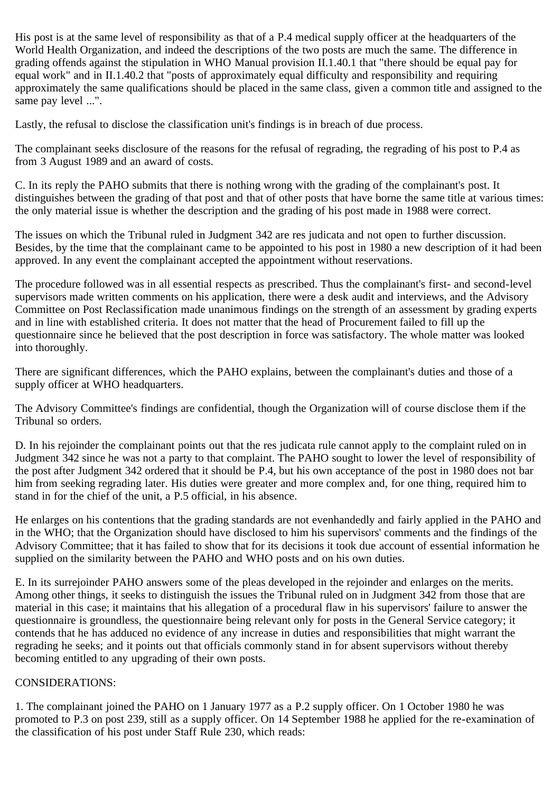His post is at the same level of responsibility as that of a P.4 medical supply officer at the headquarters of the World Health Organization, and indeed the descriptions of the two posts are much the same. The difference in grading offends against the stipulation in WHO Manual provision II.1.40.1 that "there should be equal pay for equal work" and in II.1.40.2 that "posts of approximately equal difficulty and responsibility and requiring approximately the same qualifications should be placed in the same class, given a common title and assigned to the same pay level ...".

Lastly, the refusal to disclose the classification unit's findings is in breach of due process.

The complainant seeks disclosure of the reasons for the refusal of regrading, the regrading of his post to P.4 as from 3 August 1989 and an award of costs.

C. In its reply the PAHO submits that there is nothing wrong with the grading of the complainant's post. It distinguishes between the grading of that post and that of other posts that have borne the same title at various times: the only material issue is whether the description and the grading of his post made in 1988 were correct.

The issues on which the Tribunal ruled in Judgment 342 are res judicata and not open to further discussion. Besides, by the time that the complainant came to be appointed to his post in 1980 a new description of it had been approved. In any event the complainant accepted the appointment without reservations.

The procedure followed was in all essential respects as prescribed. Thus the complainant's first- and second-level supervisors made written comments on his application, there were a desk audit and interviews, and the Advisory Committee on Post Reclassification made unanimous findings on the strength of an assessment by grading experts and in line with established criteria. It does not matter that the head of Procurement failed to fill up the questionnaire since he believed that the post description in force was satisfactory. The whole matter was looked into thoroughly.

There are significant differences, which the PAHO explains, between the complainant's duties and those of a supply officer at WHO headquarters.

The Advisory Committee's findings are confidential, though the Organization will of course disclose them if the Tribunal so orders.

D. In his rejoinder the complainant points out that the res judicata rule cannot apply to the complaint ruled on in Judgment 342 since he was not a party to that complaint. The PAHO sought to lower the level of responsibility of the post after Judgment 342 ordered that it should be P.4, but his own acceptance of the post in 1980 does not bar him from seeking regrading later. His duties were greater and more complex and, for one thing, required him to stand in for the chief of the unit, a P.5 official, in his absence.

He enlarges on his contentions that the grading standards are not evenhandedly and fairly applied in the PAHO and in the WHO; that the Organization should have disclosed to him his supervisors' comments and the findings of the Advisory Committee; that it has failed to show that for its decisions it took due account of essential information he supplied on the similarity between the PAHO and WHO posts and on his own duties.

E. In its surrejoinder PAHO answers some of the pleas developed in the rejoinder and enlarges on the merits. Among other things, it seeks to distinguish the issues the Tribunal ruled on in Judgment 342 from those that are material in this case; it maintains that his allegation of a procedural flaw in his supervisors' failure to answer the questionnaire is groundless, the questionnaire being relevant only for posts in the General Service category; it contends that he has adduced no evidence of any increase in duties and responsibilities that might warrant the regrading he seeks; and it points out that officials commonly stand in for absent supervisors without thereby becoming entitled to any upgrading of their own posts.

## CONSIDERATIONS:

1. The complainant joined the PAHO on 1 January 1977 as a P.2 supply officer. On 1 October 1980 he was promoted to P.3 on post 239, still as a supply officer. On 14 September 1988 he applied for the re-examination of the classification of his post under Staff Rule 230, which reads: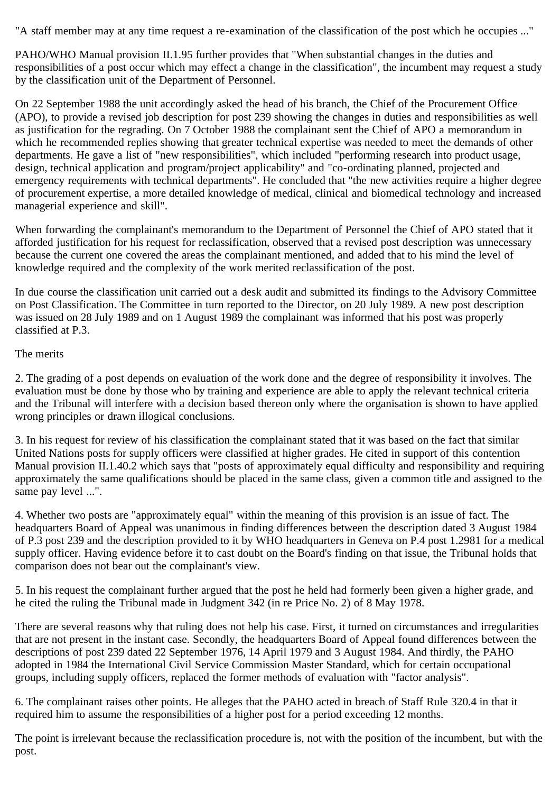"A staff member may at any time request a re-examination of the classification of the post which he occupies ..."

PAHO/WHO Manual provision II.1.95 further provides that "When substantial changes in the duties and responsibilities of a post occur which may effect a change in the classification", the incumbent may request a study by the classification unit of the Department of Personnel.

On 22 September 1988 the unit accordingly asked the head of his branch, the Chief of the Procurement Office (APO), to provide a revised job description for post 239 showing the changes in duties and responsibilities as well as justification for the regrading. On 7 October 1988 the complainant sent the Chief of APO a memorandum in which he recommended replies showing that greater technical expertise was needed to meet the demands of other departments. He gave a list of "new responsibilities", which included "performing research into product usage, design, technical application and program/project applicability" and "co-ordinating planned, projected and emergency requirements with technical departments". He concluded that "the new activities require a higher degree of procurement expertise, a more detailed knowledge of medical, clinical and biomedical technology and increased managerial experience and skill".

When forwarding the complainant's memorandum to the Department of Personnel the Chief of APO stated that it afforded justification for his request for reclassification, observed that a revised post description was unnecessary because the current one covered the areas the complainant mentioned, and added that to his mind the level of knowledge required and the complexity of the work merited reclassification of the post.

In due course the classification unit carried out a desk audit and submitted its findings to the Advisory Committee on Post Classification. The Committee in turn reported to the Director, on 20 July 1989. A new post description was issued on 28 July 1989 and on 1 August 1989 the complainant was informed that his post was properly classified at P.3.

#### The merits

2. The grading of a post depends on evaluation of the work done and the degree of responsibility it involves. The evaluation must be done by those who by training and experience are able to apply the relevant technical criteria and the Tribunal will interfere with a decision based thereon only where the organisation is shown to have applied wrong principles or drawn illogical conclusions.

3. In his request for review of his classification the complainant stated that it was based on the fact that similar United Nations posts for supply officers were classified at higher grades. He cited in support of this contention Manual provision II.1.40.2 which says that "posts of approximately equal difficulty and responsibility and requiring approximately the same qualifications should be placed in the same class, given a common title and assigned to the same pay level ...".

4. Whether two posts are "approximately equal" within the meaning of this provision is an issue of fact. The headquarters Board of Appeal was unanimous in finding differences between the description dated 3 August 1984 of P.3 post 239 and the description provided to it by WHO headquarters in Geneva on P.4 post 1.2981 for a medical supply officer. Having evidence before it to cast doubt on the Board's finding on that issue, the Tribunal holds that comparison does not bear out the complainant's view.

5. In his request the complainant further argued that the post he held had formerly been given a higher grade, and he cited the ruling the Tribunal made in Judgment 342 (in re Price No. 2) of 8 May 1978.

There are several reasons why that ruling does not help his case. First, it turned on circumstances and irregularities that are not present in the instant case. Secondly, the headquarters Board of Appeal found differences between the descriptions of post 239 dated 22 September 1976, 14 April 1979 and 3 August 1984. And thirdly, the PAHO adopted in 1984 the International Civil Service Commission Master Standard, which for certain occupational groups, including supply officers, replaced the former methods of evaluation with "factor analysis".

6. The complainant raises other points. He alleges that the PAHO acted in breach of Staff Rule 320.4 in that it required him to assume the responsibilities of a higher post for a period exceeding 12 months.

The point is irrelevant because the reclassification procedure is, not with the position of the incumbent, but with the post.